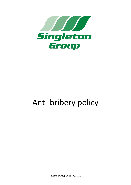

# Anti-bribery policy

Singleton Group 2022 SA37 V1.3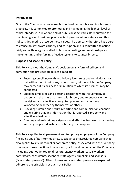## **Introduction**

One of the Company's core values is to uphold responsible and fair business practices. It is committed to promoting and maintaining the highest level of ethical standards in relation to all of its business activities. Its reputation for maintaining lawful business practices is of paramount importance and this Policy is designed to preserve these values. The Company therefore has a zero tolerance policy towards bribery and corruption and is committed to acting fairly and with integrity in all of its business dealings and relationships and implementing and enforcing effective systems to counter bribery.

## **Purpose and scope of Policy**

This Policy sets out the Company's position on any form of bribery and corruption and provides guidelines aimed at:

- Ensuring compliance with anti-bribery laws, rules and regulations, not just within the UK but in any other country within which the Company may carry out its business or in relation to which its business may be connected
- Enabling employees and persons associated with the Company to understand the risks associated with bribery and to encourage them to be vigilant and effectively recognise, prevent and report any wrongdoing, whether by themselves or others
- Providing suitable and secure reporting and communication channels and ensuring that any information that is reported is properly and effectively dealt with
- Creating and maintaining a rigorous and effective framework for dealing with any suspected instances of bribery or corruption

This Policy applies to all permanent and temporary employees of the Company (including any of its intermediaries, subsidiaries or associated companies). It also applies to any individual or corporate entity, associated with the Company or who performs functions in relation to, or for and on behalf of, the Company, including, but not limited to, directors, agency workers, casual workers, contractors, consultants, seconded staff, agents, suppliers and sponsors ("associated persons"). All employees and associated persons are expected to adhere to the principles set out in this Policy.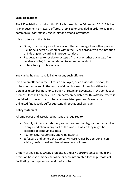# **Legal obligations**

The UK legislation on which this Policy is based is the Bribery Act 2010. A bribe is an inducement or reward offered, promised or provided in order to gain any commercial, contractual, regulatory or personal advantage.

It is an offence in the UK to:

- Offer, promise or give a financial or other advantage to another person (i.e. bribe a person), whether within the UK or abroad, with the intention of inducing or rewarding improper conduct
- Request, agree to receive or accept a financial or other advantage (i.e. receive a bribe) for or in relation to improper conduct
- Bribe a foreign public official

You can be held personally liable for any such offence.

It is also an offence in the UK for an employee, or an associated person, to bribe another person in the course of doing business, intending either to obtain or retain business, or to obtain or retain an advantage in the conduct of business, for the Company. The Company can be liable for this offence where it has failed to prevent such bribery by associated persons. As well as an unlimited fine it could suffer substantial reputational damage.

### **Policy statement**

All employees and associated persons are required to:

- Comply with any anti-bribery and anti-corruption legislation that applies in any jurisdiction in any part of the world in which they might be expected to conduct business
- Act honestly, responsibly and with integrity
- Safeguard and uphold the Company's core values by operating in an ethical, professional and lawful manner at all times

Bribery of any kind is strictly prohibited. Under no circumstances should any provision be made, money set aside or accounts created for the purposes of facilitating the payment or receipt of a bribe.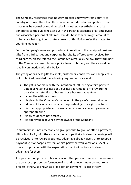The Company recognises that industry practices may vary from country to country or from culture to culture. What is considered unacceptable in one place may be normal or usual practice in another. Nevertheless, a strict adherence to the guidelines set out in this Policy is expected of all employees and associated persons at all times. If in doubt as to what might amount to bribery or what might constitute a breach of this Policy, refer the matter to your line manager.

For the Company's rules and procedures in relation to the receipt of business gifts from third parties and corporate hospitality offered to or received from third parties, please refer to the Company's Gifts Policy below. They form part of the Company's zero tolerance policy towards bribery and they should be read in conjunction with this Policy.

The giving of business gifts to clients, customers, contractors and suppliers is not prohibited provided the following requirements are met:

- The gift is not made with the intention of influencing a third party to obtain or retain business or a business advantage, or to reward the provision or retention of business or a business advantage
- It complies with local laws
- It is given in the Company's name, not in the giver's personal name
- It does not include cash or a cash equivalent (such as gift vouchers)
- It is of an appropriate and reasonable type and value and given at an appropriate time
- It is given openly, not secretly
- It is approved in advance by the owner of the Company

In summary, it is not acceptable to give, promise to give, or offer, a payment, gift or hospitality with the expectation or hope that a business advantage will be received, or to reward a business advantage already given, or to accept a payment, gift or hospitality from a third party that you know or suspect is offered or provided with the expectation that it will obtain a business advantage for them.

Any payment or gift to a public official or other person to secure or accelerate the prompt or proper performance of a routine government procedure or process, otherwise known as a "facilitation payment", is also strictly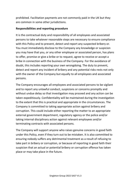prohibited. Facilitation payments are not commonly paid in the UK but they are common in some other jurisdictions.

### **Responsibilities and reporting procedure**

It is the contractual duty and responsibility of all employees and associated persons to take whatever reasonable steps are necessary to ensure compliance with this Policy and to prevent, detect and report any suspected bribery or. You must immediately disclose to the Company any knowledge or suspicion you may have that you, or any other employee or associated person, has plans to offer, promise or give a bribe or to request, agree to receive or accept a bribe in connection with the business of the Company. For the avoidance of doubt, this includes reporting your own wrongdoing. The duty to prevent, detect and report any incident of bribery and any potential risks rests not only with the owner of the Company but equally to all employees and associated persons.

The Company encourages all employees and associated persons to be vigilant and to report any unlawful conduct, suspicions or concerns promptly and without undue delay so that investigation may proceed and any action can be taken expeditiously. Confidentiality will be maintained during the investigation to the extent that this is practical and appropriate in the circumstances. The Company is committed to taking appropriate action against bribery and corruption. This could include either reporting the matter to an appropriate external government department, regulatory agency or the police and/or taking internal disciplinary action against relevant employees and/or terminating contracts with associated persons.

The Company will support anyone who raises genuine concerns in good faith under this Policy, even if they turn out to be mistaken. It is also committed to ensuring nobody suffers any detrimental treatment as a result of refusing to take part in bribery or corruption, or because of reporting in good faith their suspicion that an actual or potential bribery or corruption offence has taken place or may take place in the future.